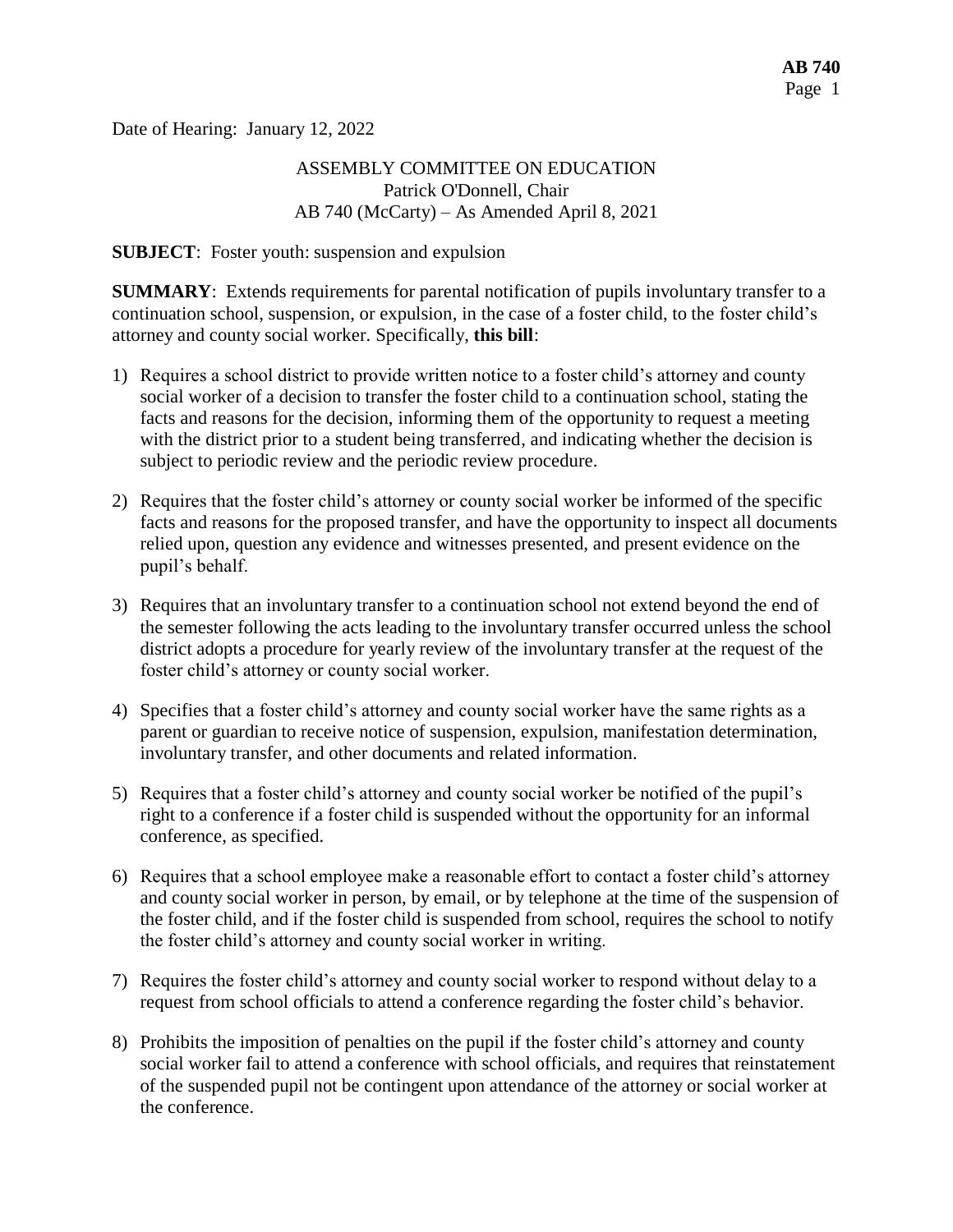Date of Hearing: January 12, 2022

## ASSEMBLY COMMITTEE ON EDUCATION Patrick O'Donnell, Chair AB 740 (McCarty) – As Amended April 8, 2021

#### **SUBJECT**: Foster youth: suspension and expulsion

**SUMMARY**: Extends requirements for parental notification of pupils involuntary transfer to a continuation school, suspension, or expulsion, in the case of a foster child, to the foster child's attorney and county social worker. Specifically, **this bill**:

- 1) Requires a school district to provide written notice to a foster child's attorney and county social worker of a decision to transfer the foster child to a continuation school, stating the facts and reasons for the decision, informing them of the opportunity to request a meeting with the district prior to a student being transferred, and indicating whether the decision is subject to periodic review and the periodic review procedure.
- 2) Requires that the foster child's attorney or county social worker be informed of the specific facts and reasons for the proposed transfer, and have the opportunity to inspect all documents relied upon, question any evidence and witnesses presented, and present evidence on the pupil's behalf.
- 3) Requires that an involuntary transfer to a continuation school not extend beyond the end of the semester following the acts leading to the involuntary transfer occurred unless the school district adopts a procedure for yearly review of the involuntary transfer at the request of the foster child's attorney or county social worker.
- 4) Specifies that a foster child's attorney and county social worker have the same rights as a parent or guardian to receive notice of suspension, expulsion, manifestation determination, involuntary transfer, and other documents and related information.
- 5) Requires that a foster child's attorney and county social worker be notified of the pupil's right to a conference if a foster child is suspended without the opportunity for an informal conference, as specified.
- 6) Requires that a school employee make a reasonable effort to contact a foster child's attorney and county social worker in person, by email, or by telephone at the time of the suspension of the foster child, and if the foster child is suspended from school, requires the school to notify the foster child's attorney and county social worker in writing.
- 7) Requires the foster child's attorney and county social worker to respond without delay to a request from school officials to attend a conference regarding the foster child's behavior.
- 8) Prohibits the imposition of penalties on the pupil if the foster child's attorney and county social worker fail to attend a conference with school officials, and requires that reinstatement of the suspended pupil not be contingent upon attendance of the attorney or social worker at the conference.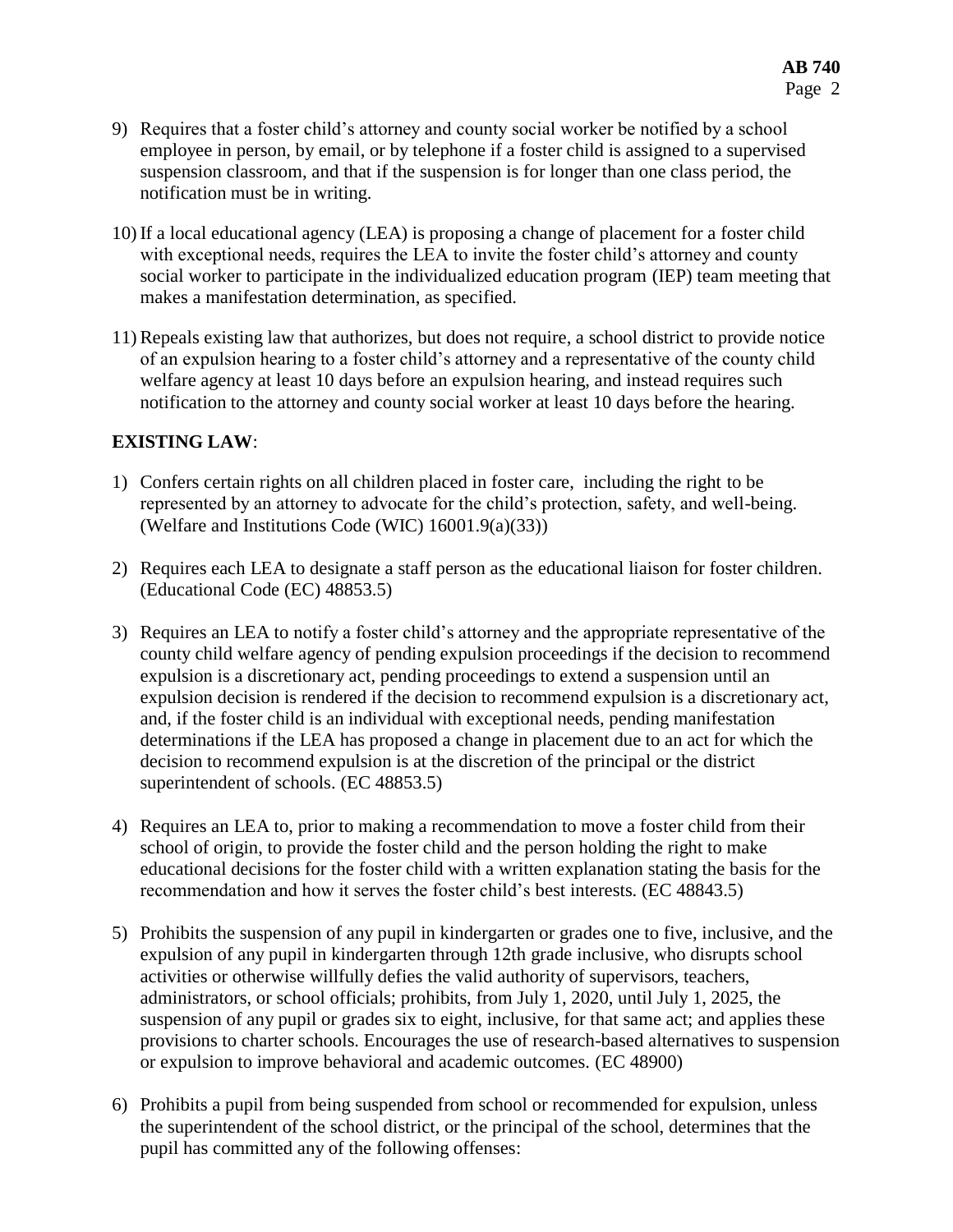- 9) Requires that a foster child's attorney and county social worker be notified by a school employee in person, by email, or by telephone if a foster child is assigned to a supervised suspension classroom, and that if the suspension is for longer than one class period, the notification must be in writing.
- 10) If a local educational agency (LEA) is proposing a change of placement for a foster child with exceptional needs, requires the LEA to invite the foster child's attorney and county social worker to participate in the individualized education program (IEP) team meeting that makes a manifestation determination, as specified.
- 11) Repeals existing law that authorizes, but does not require, a school district to provide notice of an expulsion hearing to a foster child's attorney and a representative of the county child welfare agency at least 10 days before an expulsion hearing, and instead requires such notification to the attorney and county social worker at least 10 days before the hearing.

### **EXISTING LAW**:

- 1) Confers certain rights on all children placed in foster care, including the right to be represented by an attorney to advocate for the child's protection, safety, and well-being. (Welfare and Institutions Code (WIC) 16001.9(a)(33))
- 2) Requires each LEA to designate a staff person as the educational liaison for foster children. (Educational Code (EC) 48853.5)
- 3) Requires an LEA to notify a foster child's attorney and the appropriate representative of the county child welfare agency of pending expulsion proceedings if the decision to recommend expulsion is a discretionary act, pending proceedings to extend a suspension until an expulsion decision is rendered if the decision to recommend expulsion is a discretionary act, and, if the foster child is an individual with exceptional needs, pending manifestation determinations if the LEA has proposed a change in placement due to an act for which the decision to recommend expulsion is at the discretion of the principal or the district superintendent of schools. (EC 48853.5)
- 4) Requires an LEA to, prior to making a recommendation to move a foster child from their school of origin, to provide the foster child and the person holding the right to make educational decisions for the foster child with a written explanation stating the basis for the recommendation and how it serves the foster child's best interests. (EC 48843.5)
- 5) Prohibits the suspension of any pupil in kindergarten or grades one to five, inclusive, and the expulsion of any pupil in kindergarten through 12th grade inclusive, who disrupts school activities or otherwise willfully defies the valid authority of supervisors, teachers, administrators, or school officials; prohibits, from July 1, 2020, until July 1, 2025, the suspension of any pupil or grades six to eight, inclusive, for that same act; and applies these provisions to charter schools. Encourages the use of research-based alternatives to suspension or expulsion to improve behavioral and academic outcomes. (EC 48900)
- 6) Prohibits a pupil from being suspended from school or recommended for expulsion, unless the superintendent of the school district, or the principal of the school, determines that the pupil has committed any of the following offenses: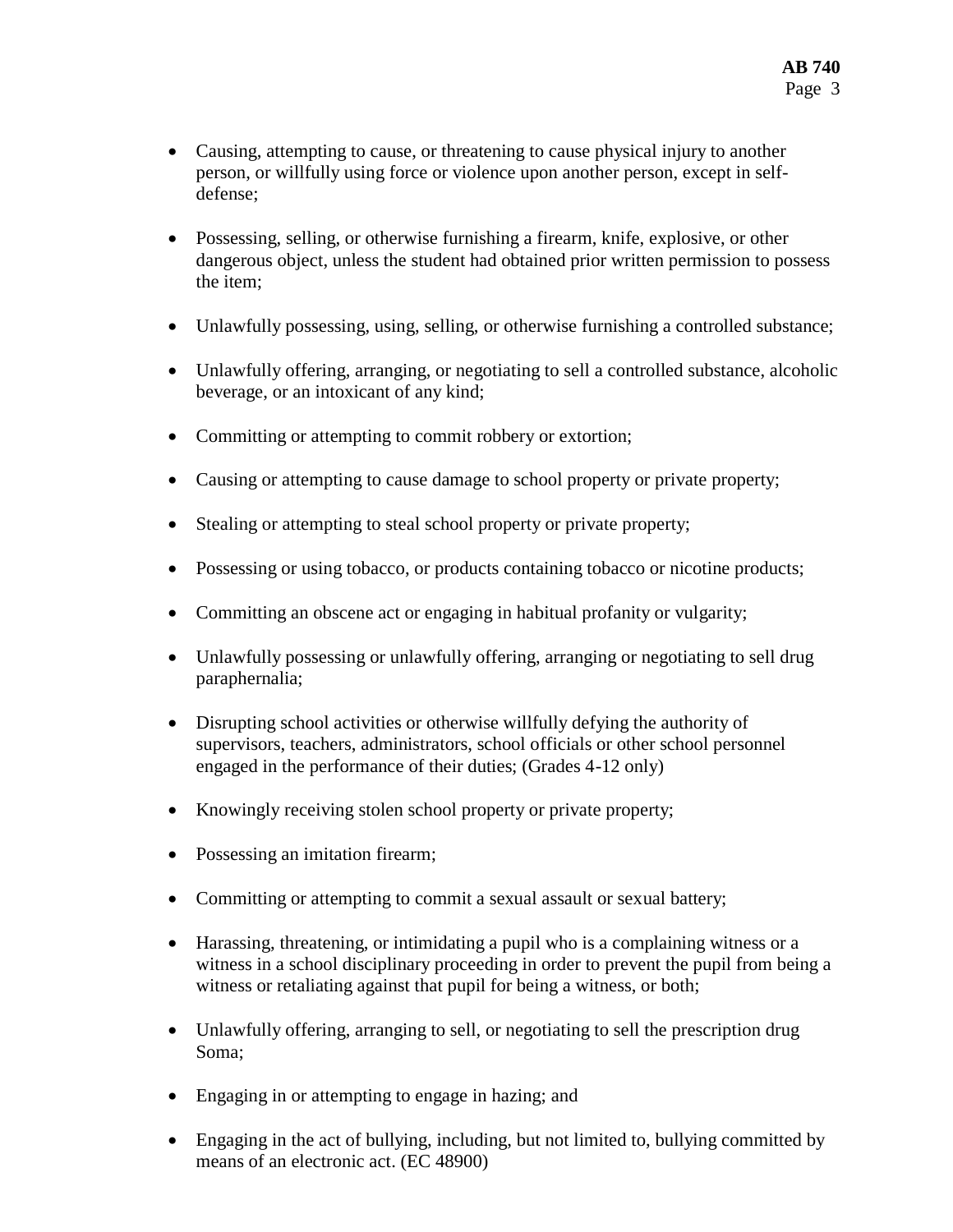- Causing, attempting to cause, or threatening to cause physical injury to another person, or willfully using force or violence upon another person, except in selfdefense;
- Possessing, selling, or otherwise furnishing a firearm, knife, explosive, or other dangerous object, unless the student had obtained prior written permission to possess the item;
- Unlawfully possessing, using, selling, or otherwise furnishing a controlled substance;
- Unlawfully offering, arranging, or negotiating to sell a controlled substance, alcoholic beverage, or an intoxicant of any kind;
- Committing or attempting to commit robbery or extortion;
- Causing or attempting to cause damage to school property or private property;
- Stealing or attempting to steal school property or private property;
- Possessing or using tobacco, or products containing tobacco or nicotine products;
- Committing an obscene act or engaging in habitual profanity or vulgarity;
- Unlawfully possessing or unlawfully offering, arranging or negotiating to sell drug paraphernalia;
- Disrupting school activities or otherwise willfully defying the authority of supervisors, teachers, administrators, school officials or other school personnel engaged in the performance of their duties; (Grades 4-12 only)
- Knowingly receiving stolen school property or private property;
- Possessing an imitation firearm;
- Committing or attempting to commit a sexual assault or sexual battery;
- Harassing, threatening, or intimidating a pupil who is a complaining witness or a witness in a school disciplinary proceeding in order to prevent the pupil from being a witness or retaliating against that pupil for being a witness, or both;
- Unlawfully offering, arranging to sell, or negotiating to sell the prescription drug Soma;
- Engaging in or attempting to engage in hazing; and
- Engaging in the act of bullying, including, but not limited to, bullying committed by means of an electronic act. (EC 48900)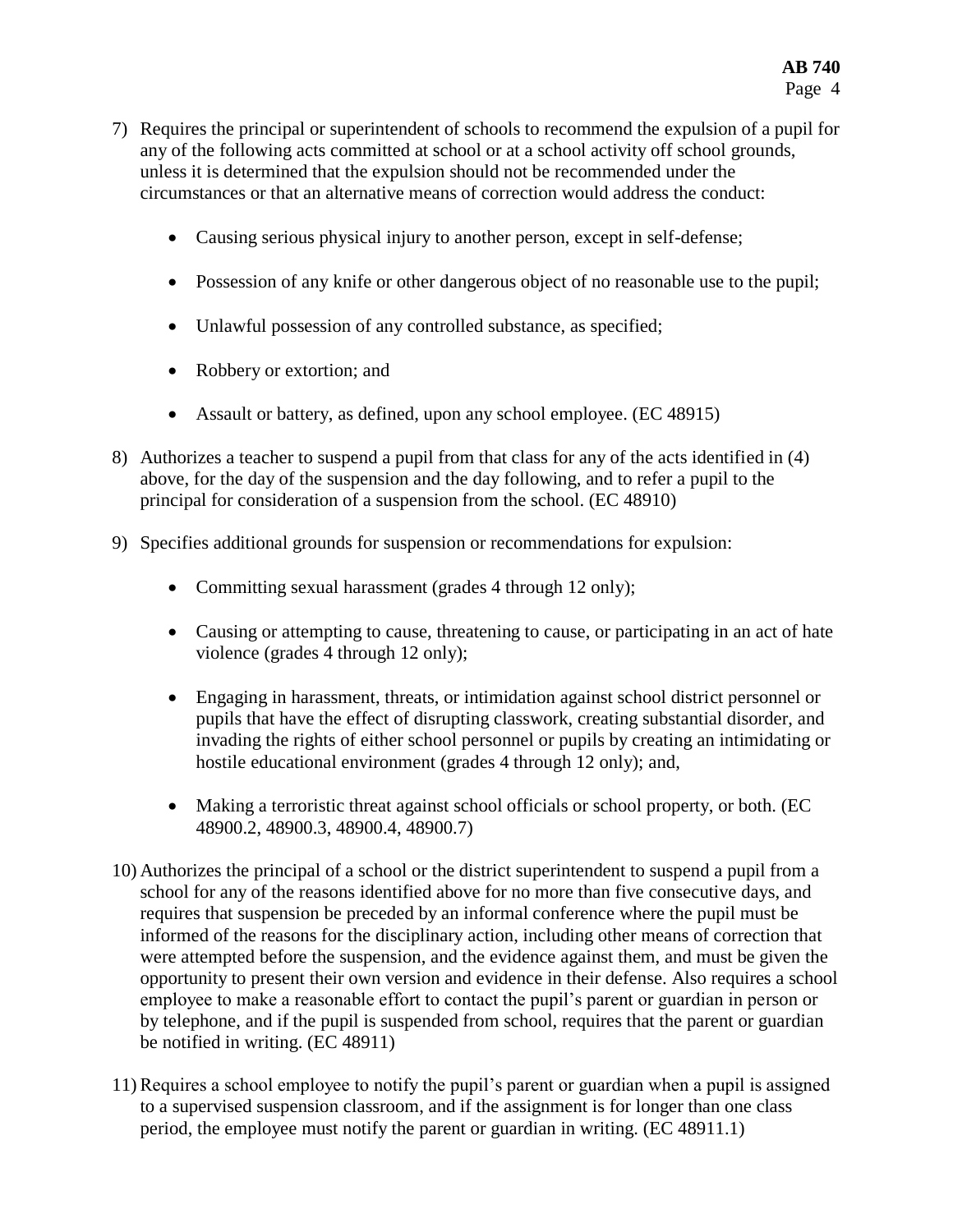- 7) Requires the principal or superintendent of schools to recommend the expulsion of a pupil for any of the following acts committed at school or at a school activity off school grounds, unless it is determined that the expulsion should not be recommended under the circumstances or that an alternative means of correction would address the conduct:
	- Causing serious physical injury to another person, except in self-defense;
	- Possession of any knife or other dangerous object of no reasonable use to the pupil;
	- Unlawful possession of any controlled substance, as specified;
	- Robbery or extortion; and
	- Assault or battery, as defined, upon any school employee. (EC 48915)
- 8) Authorizes a teacher to suspend a pupil from that class for any of the acts identified in (4) above, for the day of the suspension and the day following, and to refer a pupil to the principal for consideration of a suspension from the school. (EC 48910)
- 9) Specifies additional grounds for suspension or recommendations for expulsion:
	- Committing sexual harassment (grades 4 through 12 only);
	- Causing or attempting to cause, threatening to cause, or participating in an act of hate violence (grades 4 through 12 only);
	- Engaging in harassment, threats, or intimidation against school district personnel or pupils that have the effect of disrupting classwork, creating substantial disorder, and invading the rights of either school personnel or pupils by creating an intimidating or hostile educational environment (grades 4 through 12 only); and,
	- Making a terroristic threat against school officials or school property, or both. (EC 48900.2, 48900.3, 48900.4, 48900.7)
- 10) Authorizes the principal of a school or the district superintendent to suspend a pupil from a school for any of the reasons identified above for no more than five consecutive days, and requires that suspension be preceded by an informal conference where the pupil must be informed of the reasons for the disciplinary action, including other means of correction that were attempted before the suspension, and the evidence against them, and must be given the opportunity to present their own version and evidence in their defense. Also requires a school employee to make a reasonable effort to contact the pupil's parent or guardian in person or by telephone, and if the pupil is suspended from school, requires that the parent or guardian be notified in writing. (EC 48911)
- 11) Requires a school employee to notify the pupil's parent or guardian when a pupil is assigned to a supervised suspension classroom, and if the assignment is for longer than one class period, the employee must notify the parent or guardian in writing. (EC 48911.1)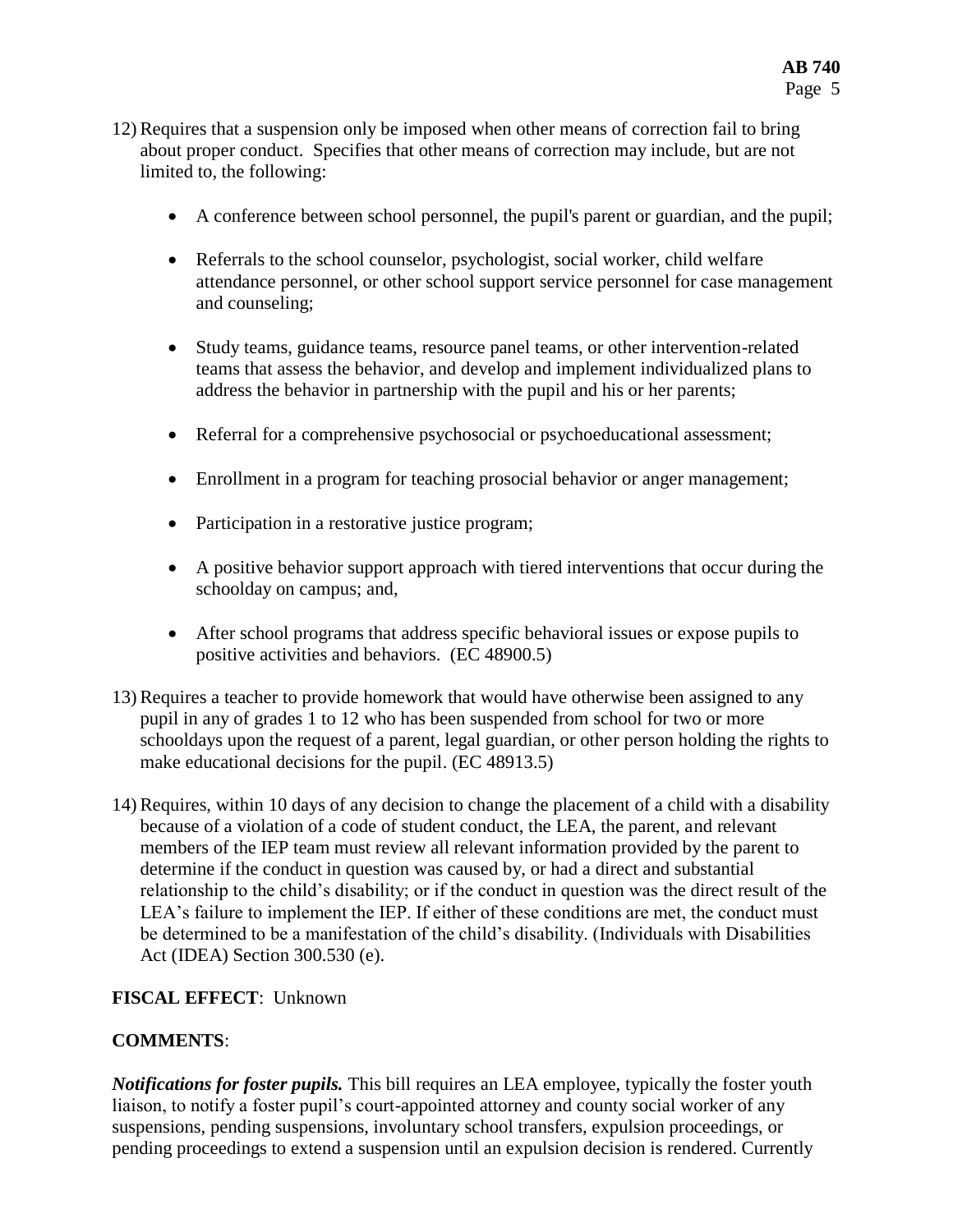- 12) Requires that a suspension only be imposed when other means of correction fail to bring about proper conduct. Specifies that other means of correction may include, but are not limited to, the following:
	- A conference between school personnel, the pupil's parent or guardian, and the pupil;
	- Referrals to the school counselor, psychologist, social worker, child welfare attendance personnel, or other school support service personnel for case management and counseling;
	- Study teams, guidance teams, resource panel teams, or other intervention-related teams that assess the behavior, and develop and implement individualized plans to address the behavior in partnership with the pupil and his or her parents;
	- Referral for a comprehensive psychosocial or psychoeducational assessment;
	- Enrollment in a program for teaching prosocial behavior or anger management;
	- Participation in a restorative justice program;
	- A positive behavior support approach with tiered interventions that occur during the schoolday on campus; and,
	- After school programs that address specific behavioral issues or expose pupils to positive activities and behaviors. (EC 48900.5)
- 13) Requires a teacher to provide homework that would have otherwise been assigned to any pupil in any of grades 1 to 12 who has been suspended from school for two or more schooldays upon the request of a parent, legal guardian, or other person holding the rights to make educational decisions for the pupil. (EC 48913.5)
- 14) Requires, within 10 days of any decision to change the placement of a child with a disability because of a violation of a code of student conduct, the LEA, the parent, and relevant members of the IEP team must review all relevant information provided by the parent to determine if the conduct in question was caused by, or had a direct and substantial relationship to the child's disability; or if the conduct in question was the direct result of the LEA's failure to implement the IEP. If either of these conditions are met, the conduct must be determined to be a manifestation of the child's disability. (Individuals with Disabilities Act (IDEA) Section 300.530 (e).

## **FISCAL EFFECT**: Unknown

## **COMMENTS**:

*Notifications for foster pupils.* This bill requires an LEA employee, typically the foster youth liaison, to notify a foster pupil's court-appointed attorney and county social worker of any suspensions, pending suspensions, involuntary school transfers, expulsion proceedings, or pending proceedings to extend a suspension until an expulsion decision is rendered. Currently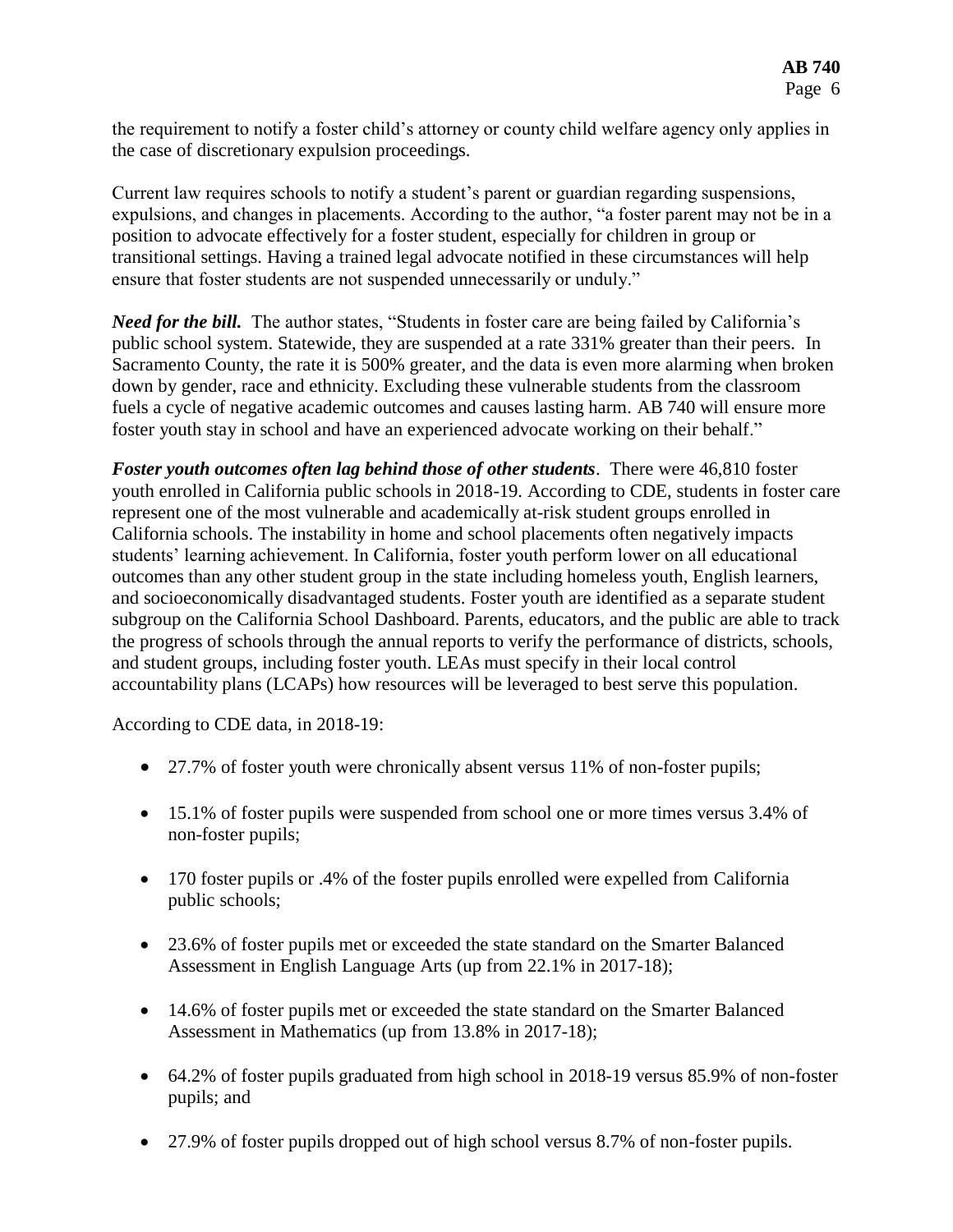the requirement to notify a foster child's attorney or county child welfare agency only applies in the case of discretionary expulsion proceedings.

Current law requires schools to notify a student's parent or guardian regarding suspensions, expulsions, and changes in placements. According to the author, "a foster parent may not be in a position to advocate effectively for a foster student, especially for children in group or transitional settings. Having a trained legal advocate notified in these circumstances will help ensure that foster students are not suspended unnecessarily or unduly."

*Need for the bill.* The author states, "Students in foster care are being failed by California's public school system. Statewide, they are suspended at a rate 331% greater than their peers. In Sacramento County, the rate it is 500% greater, and the data is even more alarming when broken down by gender, race and ethnicity. Excluding these vulnerable students from the classroom fuels a cycle of negative academic outcomes and causes lasting harm. AB 740 will ensure more foster youth stay in school and have an experienced advocate working on their behalf."

*Foster youth outcomes often lag behind those of other students*. There were 46,810 foster youth enrolled in California public schools in 2018-19. According to CDE, students in foster care represent one of the most vulnerable and academically at-risk student groups enrolled in California schools. The instability in home and school placements often negatively impacts students' learning achievement. In California, foster youth perform lower on all educational outcomes than any other student group in the state including homeless youth, English learners, and socioeconomically disadvantaged students. Foster youth are identified as a separate student subgroup on the California School Dashboard. Parents, educators, and the public are able to track the progress of schools through the annual reports to verify the performance of districts, schools, and student groups, including foster youth. LEAs must specify in their local control accountability plans (LCAPs) how resources will be leveraged to best serve this population.

According to CDE data, in 2018-19:

- 27.7% of foster youth were chronically absent versus 11% of non-foster pupils;
- 15.1% of foster pupils were suspended from school one or more times versus 3.4% of non-foster pupils;
- 170 foster pupils or .4% of the foster pupils enrolled were expelled from California public schools;
- 23.6% of foster pupils met or exceeded the state standard on the Smarter Balanced Assessment in English Language Arts (up from 22.1% in 2017-18);
- 14.6% of foster pupils met or exceeded the state standard on the Smarter Balanced Assessment in Mathematics (up from 13.8% in 2017-18);
- 64.2% of foster pupils graduated from high school in 2018-19 versus 85.9% of non-foster pupils; and
- 27.9% of foster pupils dropped out of high school versus 8.7% of non-foster pupils.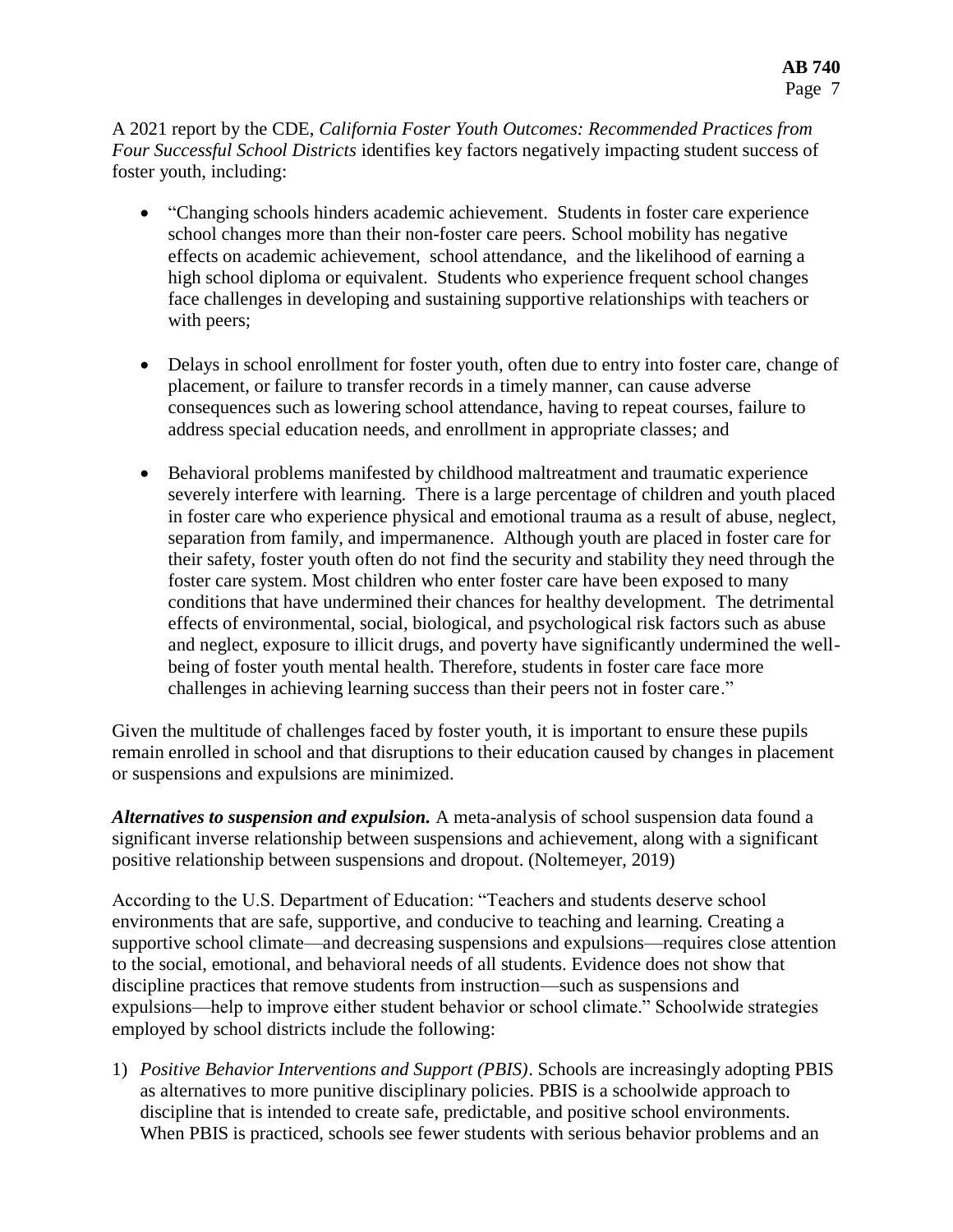A 2021 report by the CDE, *California Foster Youth Outcomes: Recommended Practices from Four Successful School Districts* identifies key factors negatively impacting student success of foster youth, including:

- "Changing schools hinders academic achievement. Students in foster care experience school changes more than their non-foster care peers. School mobility has negative effects on academic achievement, school attendance, and the likelihood of earning a high school diploma or equivalent. Students who experience frequent school changes face challenges in developing and sustaining supportive relationships with teachers or with peers;
- Delays in school enrollment for foster youth, often due to entry into foster care, change of placement, or failure to transfer records in a timely manner, can cause adverse consequences such as lowering school attendance, having to repeat courses, failure to address special education needs, and enrollment in appropriate classes; and
- Behavioral problems manifested by childhood maltreatment and traumatic experience severely interfere with learning. There is a large percentage of children and youth placed in foster care who experience physical and emotional trauma as a result of abuse, neglect, separation from family, and impermanence. Although youth are placed in foster care for their safety, foster youth often do not find the security and stability they need through the foster care system. Most children who enter foster care have been exposed to many conditions that have undermined their chances for healthy development. The detrimental effects of environmental, social, biological, and psychological risk factors such as abuse and neglect, exposure to illicit drugs, and poverty have significantly undermined the wellbeing of foster youth mental health. Therefore, students in foster care face more challenges in achieving learning success than their peers not in foster care."

Given the multitude of challenges faced by foster youth, it is important to ensure these pupils remain enrolled in school and that disruptions to their education caused by changes in placement or suspensions and expulsions are minimized.

*Alternatives to suspension and expulsion.* A meta-analysis of school suspension data found a significant inverse relationship between suspensions and achievement, along with a significant positive relationship between suspensions and dropout. (Noltemeyer, 2019)

According to the U.S. Department of Education: "Teachers and students deserve school environments that are safe, supportive, and conducive to teaching and learning. Creating a supportive school climate—and decreasing suspensions and expulsions—requires close attention to the social, emotional, and behavioral needs of all students. Evidence does not show that discipline practices that remove students from instruction—such as suspensions and expulsions—help to improve either student behavior or school climate." Schoolwide strategies employed by school districts include the following:

1) *Positive Behavior Interventions and Support (PBIS)*. Schools are increasingly adopting PBIS as alternatives to more punitive disciplinary policies. PBIS is a schoolwide approach to discipline that is intended to create safe, predictable, and positive school environments. When PBIS is practiced, schools see fewer students with serious behavior problems and an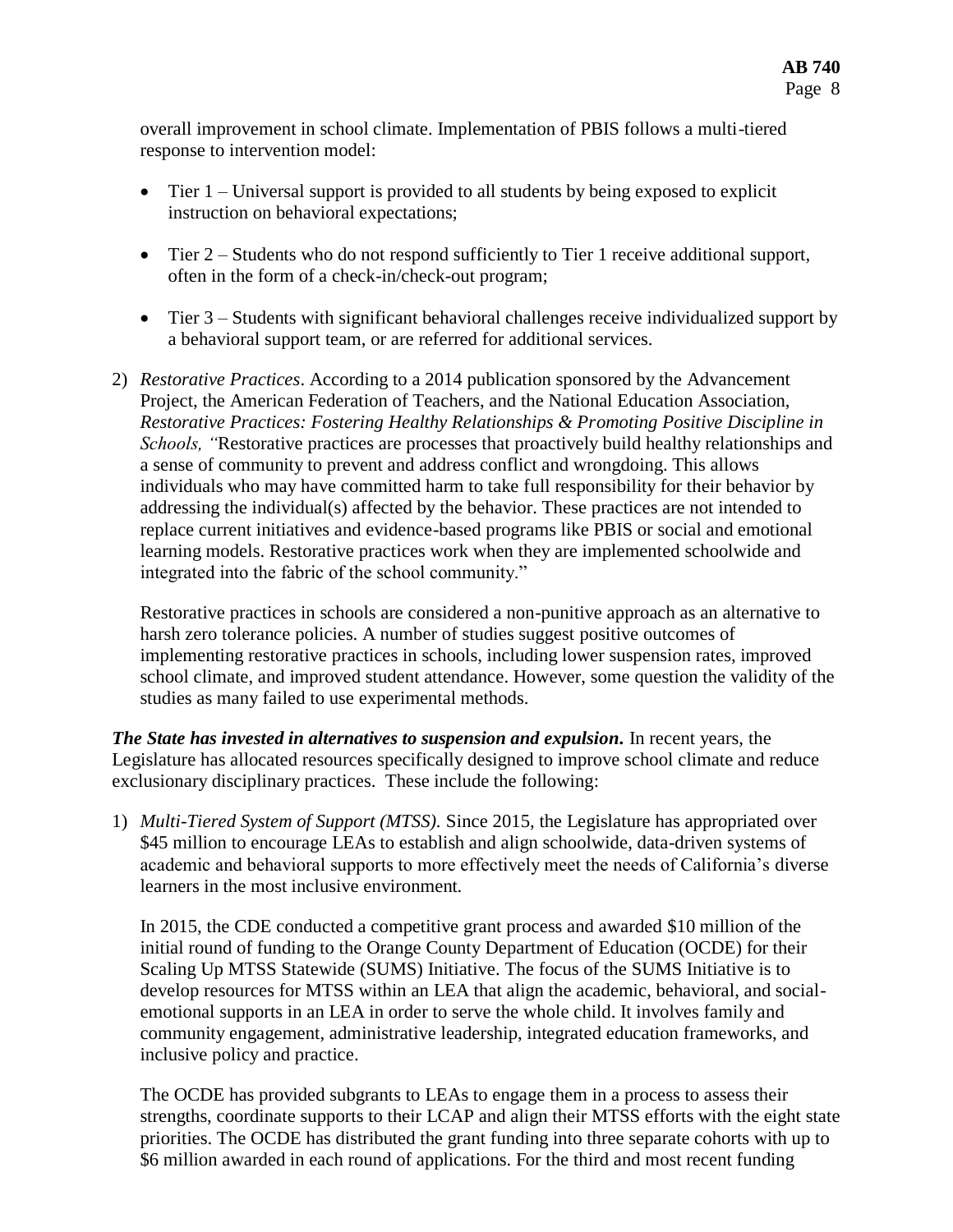overall improvement in school climate. Implementation of PBIS follows a multi-tiered response to intervention model:

- $\bullet$  Tier 1 Universal support is provided to all students by being exposed to explicit instruction on behavioral expectations;
- Tier 2 Students who do not respond sufficiently to Tier 1 receive additional support, often in the form of a check-in/check-out program;
- Tier 3 Students with significant behavioral challenges receive individualized support by a behavioral support team, or are referred for additional services.
- 2) *Restorative Practices*. According to a 2014 publication sponsored by the Advancement Project, the American Federation of Teachers, and the National Education Association, *Restorative Practices: Fostering Healthy Relationships & Promoting Positive Discipline in Schools, "*Restorative practices are processes that proactively build healthy relationships and a sense of community to prevent and address conflict and wrongdoing. This allows individuals who may have committed harm to take full responsibility for their behavior by addressing the individual(s) affected by the behavior. These practices are not intended to replace current initiatives and evidence-based programs like PBIS or social and emotional learning models. Restorative practices work when they are implemented schoolwide and integrated into the fabric of the school community."

Restorative practices in schools are considered a non-punitive approach as an alternative to harsh zero tolerance policies. A number of studies suggest positive outcomes of implementing restorative practices in schools, including lower suspension rates, improved school climate, and improved student attendance. However, some question the validity of the studies as many failed to use experimental methods.

*The State has invested in alternatives to suspension and expulsion.* In recent years, the Legislature has allocated resources specifically designed to improve school climate and reduce exclusionary disciplinary practices. These include the following:

1) *Multi-Tiered System of Support (MTSS).* Since 2015, the Legislature has appropriated over \$45 million to encourage LEAs to establish and align schoolwide, data-driven systems of academic and behavioral supports to more effectively meet the needs of California's diverse learners in the most inclusive environment.

In 2015, the CDE conducted a competitive grant process and awarded \$10 million of the initial round of funding to the Orange County Department of Education (OCDE) for their Scaling Up MTSS Statewide (SUMS) Initiative. The focus of the SUMS Initiative is to develop resources for MTSS within an LEA that align the academic, behavioral, and socialemotional supports in an LEA in order to serve the whole child. It involves family and community engagement, administrative leadership, integrated education frameworks, and inclusive policy and practice.

The OCDE has provided subgrants to LEAs to engage them in a process to assess their strengths, coordinate supports to their LCAP and align their MTSS efforts with the eight state priorities. The OCDE has distributed the grant funding into three separate cohorts with up to \$6 million awarded in each round of applications. For the third and most recent funding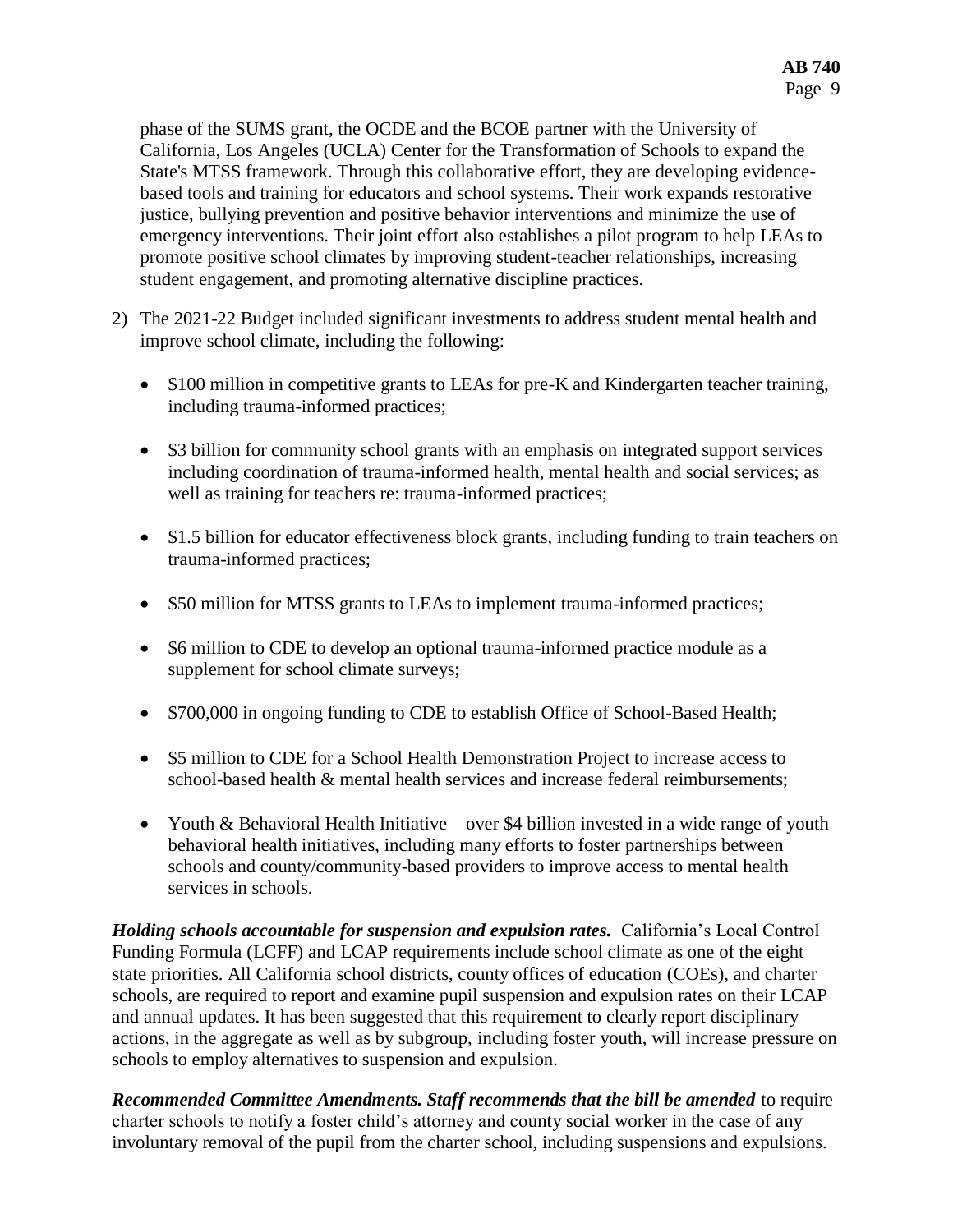phase of the SUMS grant, the OCDE and the BCOE partner with the University of California, Los Angeles (UCLA) Center for the Transformation of Schools to expand the State's MTSS framework. Through this collaborative effort, they are developing evidencebased tools and training for educators and school systems. Their work expands restorative justice, bullying prevention and positive behavior interventions and minimize the use of emergency interventions. Their joint effort also establishes a pilot program to help LEAs to promote positive school climates by improving student-teacher relationships, increasing student engagement, and promoting alternative discipline practices.

- 2) The 2021-22 Budget included significant investments to address student mental health and improve school climate, including the following:
	- \$100 million in competitive grants to LEAs for pre-K and Kindergarten teacher training, including trauma-informed practices;
	- \$3 billion for community school grants with an emphasis on integrated support services including coordination of trauma-informed health, mental health and social services; as well as training for teachers re: trauma-informed practices;
	- \$1.5 billion for educator effectiveness block grants, including funding to train teachers on trauma-informed practices;
	- \$50 million for MTSS grants to LEAs to implement trauma-informed practices;
	- \$6 million to CDE to develop an optional trauma-informed practice module as a supplement for school climate surveys;
	- \$700,000 in ongoing funding to CDE to establish Office of School-Based Health;
	- \$5 million to CDE for a School Health Demonstration Project to increase access to school-based health & mental health services and increase federal reimbursements;
	- Youth & Behavioral Health Initiative over \$4 billion invested in a wide range of youth behavioral health initiatives, including many efforts to foster partnerships between schools and county/community-based providers to improve access to mental health services in schools.

*Holding schools accountable for suspension and expulsion rates.* California's Local Control Funding Formula (LCFF) and LCAP requirements include school climate as one of the eight state priorities. All California school districts, county offices of education (COEs), and charter schools, are required to report and examine pupil suspension and expulsion rates on their LCAP and annual updates. It has been suggested that this requirement to clearly report disciplinary actions, in the aggregate as well as by subgroup, including foster youth, will increase pressure on schools to employ alternatives to suspension and expulsion.

*Recommended Committee Amendments. Staff recommends that the bill be amended* to require charter schools to notify a foster child's attorney and county social worker in the case of any involuntary removal of the pupil from the charter school, including suspensions and expulsions.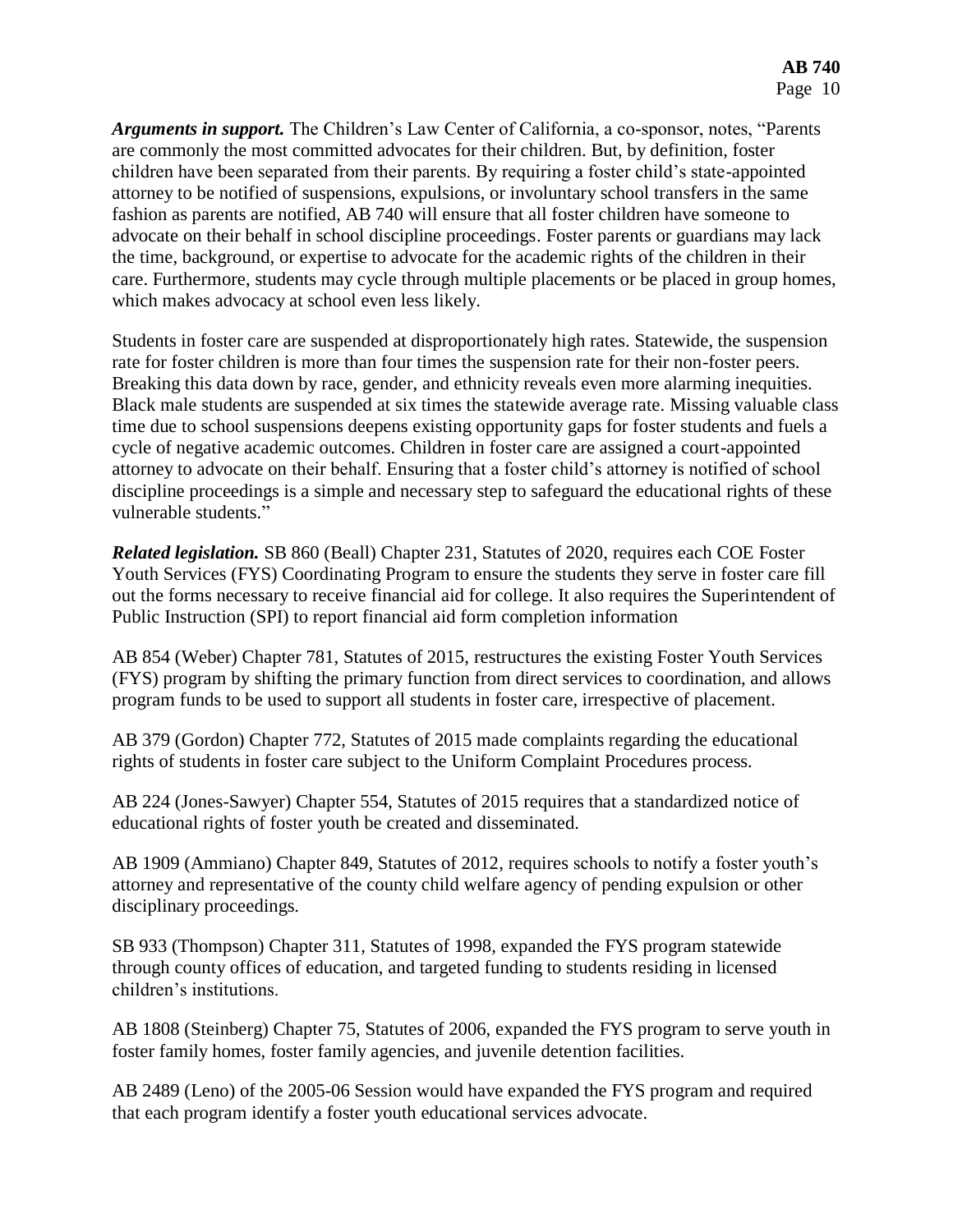*Arguments in support.* The Children's Law Center of California, a co-sponsor, notes, "Parents are commonly the most committed advocates for their children. But, by definition, foster children have been separated from their parents. By requiring a foster child's state-appointed attorney to be notified of suspensions, expulsions, or involuntary school transfers in the same fashion as parents are notified, AB 740 will ensure that all foster children have someone to advocate on their behalf in school discipline proceedings. Foster parents or guardians may lack the time, background, or expertise to advocate for the academic rights of the children in their care. Furthermore, students may cycle through multiple placements or be placed in group homes, which makes advocacy at school even less likely.

Students in foster care are suspended at disproportionately high rates. Statewide, the suspension rate for foster children is more than four times the suspension rate for their non-foster peers. Breaking this data down by race, gender, and ethnicity reveals even more alarming inequities. Black male students are suspended at six times the statewide average rate. Missing valuable class time due to school suspensions deepens existing opportunity gaps for foster students and fuels a cycle of negative academic outcomes. Children in foster care are assigned a court-appointed attorney to advocate on their behalf. Ensuring that a foster child's attorney is notified of school discipline proceedings is a simple and necessary step to safeguard the educational rights of these vulnerable students."

*Related legislation.* SB 860 (Beall) Chapter 231, Statutes of 2020, requires each COE Foster Youth Services (FYS) Coordinating Program to ensure the students they serve in foster care fill out the forms necessary to receive financial aid for college. It also requires the Superintendent of Public Instruction (SPI) to report financial aid form completion information

AB 854 (Weber) Chapter 781, Statutes of 2015, restructures the existing Foster Youth Services (FYS) program by shifting the primary function from direct services to coordination, and allows program funds to be used to support all students in foster care, irrespective of placement.

AB 379 (Gordon) Chapter 772, Statutes of 2015 made complaints regarding the educational rights of students in foster care subject to the Uniform Complaint Procedures process.

AB 224 (Jones-Sawyer) Chapter 554, Statutes of 2015 requires that a standardized notice of educational rights of foster youth be created and disseminated.

AB 1909 (Ammiano) Chapter 849, Statutes of 2012, requires schools to notify a foster youth's attorney and representative of the county child welfare agency of pending expulsion or other disciplinary proceedings.

SB 933 (Thompson) Chapter 311, Statutes of 1998, expanded the FYS program statewide through county offices of education, and targeted funding to students residing in licensed children's institutions.

AB 1808 (Steinberg) Chapter 75, Statutes of 2006, expanded the FYS program to serve youth in foster family homes, foster family agencies, and juvenile detention facilities.

AB 2489 (Leno) of the 2005-06 Session would have expanded the FYS program and required that each program identify a foster youth educational services advocate.